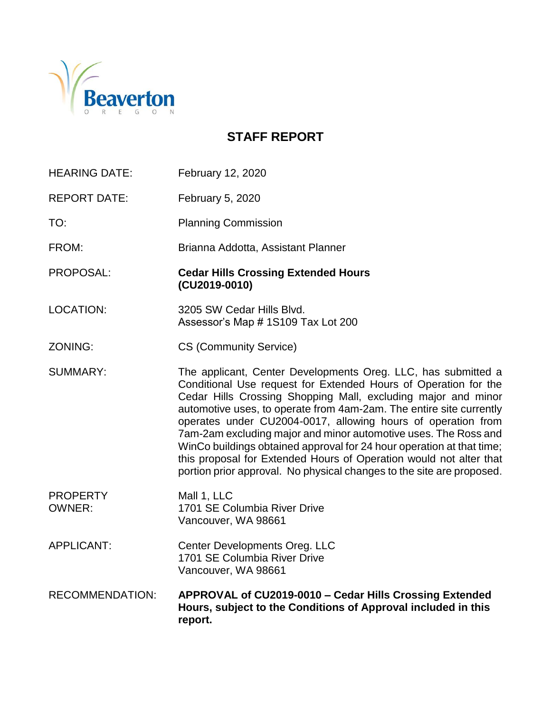

# **STAFF REPORT**

| <b>HEARING DATE:</b>             | February 12, 2020                                                                                                                                                                                                                                                                                                                                                                                                                                                                                                                                                                                                                   |
|----------------------------------|-------------------------------------------------------------------------------------------------------------------------------------------------------------------------------------------------------------------------------------------------------------------------------------------------------------------------------------------------------------------------------------------------------------------------------------------------------------------------------------------------------------------------------------------------------------------------------------------------------------------------------------|
| <b>REPORT DATE:</b>              | February 5, 2020                                                                                                                                                                                                                                                                                                                                                                                                                                                                                                                                                                                                                    |
| TO:                              | <b>Planning Commission</b>                                                                                                                                                                                                                                                                                                                                                                                                                                                                                                                                                                                                          |
| FROM:                            | Brianna Addotta, Assistant Planner                                                                                                                                                                                                                                                                                                                                                                                                                                                                                                                                                                                                  |
| PROPOSAL:                        | <b>Cedar Hills Crossing Extended Hours</b><br>(CU2019-0010)                                                                                                                                                                                                                                                                                                                                                                                                                                                                                                                                                                         |
| <b>LOCATION:</b>                 | 3205 SW Cedar Hills Blvd.<br>Assessor's Map #1S109 Tax Lot 200                                                                                                                                                                                                                                                                                                                                                                                                                                                                                                                                                                      |
| ZONING:                          | <b>CS (Community Service)</b>                                                                                                                                                                                                                                                                                                                                                                                                                                                                                                                                                                                                       |
| <b>SUMMARY:</b>                  | The applicant, Center Developments Oreg. LLC, has submitted a<br>Conditional Use request for Extended Hours of Operation for the<br>Cedar Hills Crossing Shopping Mall, excluding major and minor<br>automotive uses, to operate from 4am-2am. The entire site currently<br>operates under CU2004-0017, allowing hours of operation from<br>7am-2am excluding major and minor automotive uses. The Ross and<br>WinCo buildings obtained approval for 24 hour operation at that time;<br>this proposal for Extended Hours of Operation would not alter that<br>portion prior approval. No physical changes to the site are proposed. |
| <b>PROPERTY</b><br><b>OWNER:</b> | Mall 1, LLC<br>1701 SE Columbia River Drive<br>Vancouver, WA 98661                                                                                                                                                                                                                                                                                                                                                                                                                                                                                                                                                                  |
| <b>APPLICANT:</b>                | Center Developments Oreg. LLC<br>1701 SE Columbia River Drive<br>Vancouver, WA 98661                                                                                                                                                                                                                                                                                                                                                                                                                                                                                                                                                |
| <b>RECOMMENDATION:</b>           | APPROVAL of CU2019-0010 - Cedar Hills Crossing Extended<br>Hours, subject to the Conditions of Approval included in this<br>report.                                                                                                                                                                                                                                                                                                                                                                                                                                                                                                 |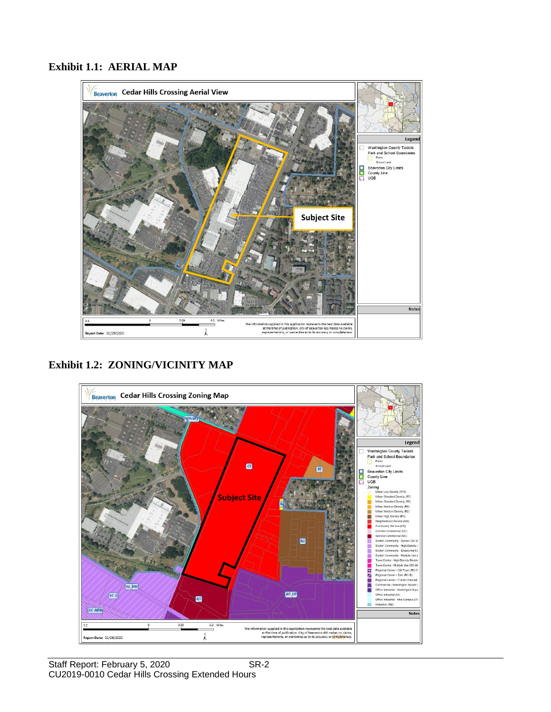#### **Exhibit 1.1: AERIAL MAP**



**Exhibit 1.2: ZONING/VICINITY MAP**

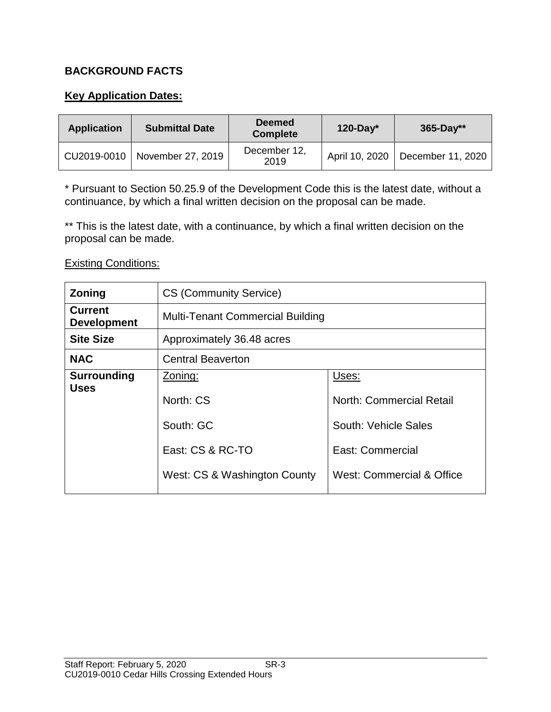### **BACKGROUND FACTS**

#### **Key Application Dates:**

| <b>Application</b> | <b>Submittal Date</b>           | <b>Deemed</b><br><b>Complete</b> | $120$ -Day*    | $365 - Day**$     |
|--------------------|---------------------------------|----------------------------------|----------------|-------------------|
|                    | CU2019-0010   November 27, 2019 | December 12,<br>2019             | April 10, 2020 | December 11, 2020 |

\* Pursuant to Section 50.25.9 of the Development Code this is the latest date, without a continuance, by which a final written decision on the proposal can be made.

\*\* This is the latest date, with a continuance, by which a final written decision on the proposal can be made.

#### Existing Conditions:

| <b>Zoning</b>                        | <b>CS (Community Service)</b>           |                                 |  |
|--------------------------------------|-----------------------------------------|---------------------------------|--|
| <b>Current</b><br><b>Development</b> | <b>Multi-Tenant Commercial Building</b> |                                 |  |
| <b>Site Size</b>                     | Approximately 36.48 acres               |                                 |  |
| <b>NAC</b>                           | <b>Central Beaverton</b>                |                                 |  |
| <b>Surrounding</b><br><b>Uses</b>    | Zoning:                                 | Uses:                           |  |
|                                      | North: CS                               | <b>North: Commercial Retail</b> |  |
|                                      | South: GC                               | South: Vehicle Sales            |  |
|                                      | East: CS & RC-TO                        | East: Commercial                |  |
|                                      | West: CS & Washington County            | West: Commercial & Office       |  |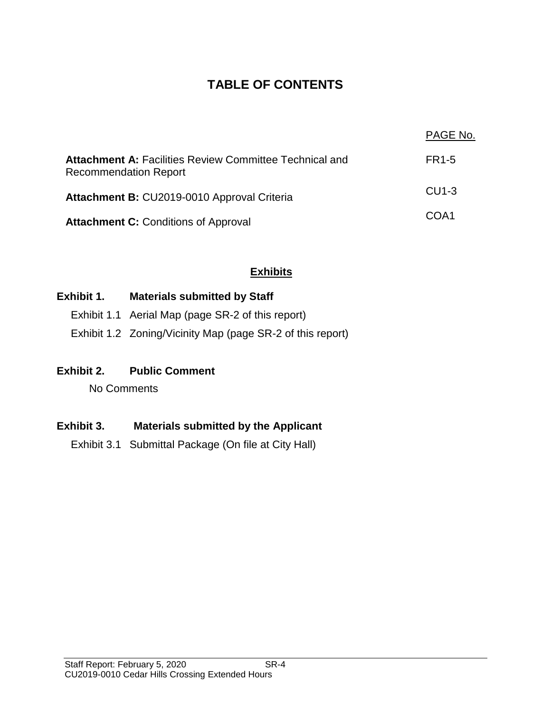# **TABLE OF CONTENTS**

|                                                                                                | PAGE No.           |
|------------------------------------------------------------------------------------------------|--------------------|
| <b>Attachment A: Facilities Review Committee Technical and</b><br><b>Recommendation Report</b> | FR1-5              |
| Attachment B: CU2019-0010 Approval Criteria                                                    | CU <sub>1</sub> -3 |
| <b>Attachment C: Conditions of Approval</b>                                                    | COA1               |

## **Exhibits**

### **Exhibit 1. Materials submitted by Staff**

- Exhibit 1.1 Aerial Map (page SR-2 of this report)
- Exhibit 1.2 Zoning/Vicinity Map (page SR-2 of this report)

#### **Exhibit 2. Public Comment**

No Comments

#### **Exhibit 3. Materials submitted by the Applicant**

Exhibit 3.1 Submittal Package (On file at City Hall)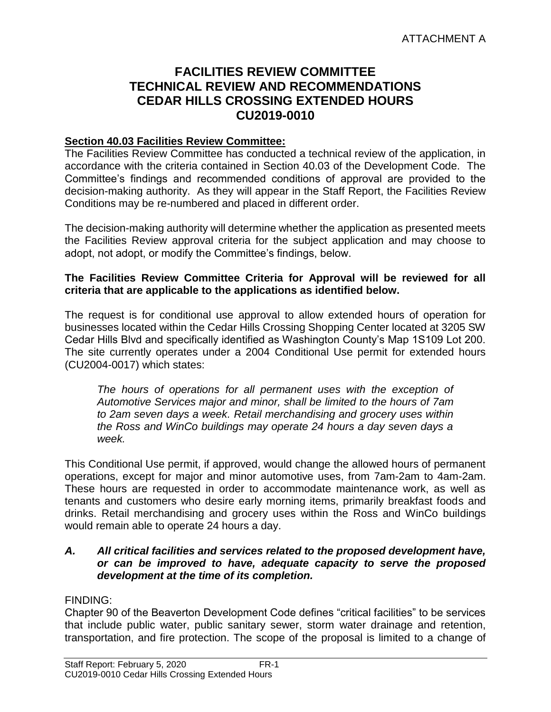## **FACILITIES REVIEW COMMITTEE TECHNICAL REVIEW AND RECOMMENDATIONS CEDAR HILLS CROSSING EXTENDED HOURS CU2019-0010**

#### **Section 40.03 Facilities Review Committee:**

The Facilities Review Committee has conducted a technical review of the application, in accordance with the criteria contained in Section 40.03 of the Development Code. The Committee's findings and recommended conditions of approval are provided to the decision-making authority. As they will appear in the Staff Report, the Facilities Review Conditions may be re-numbered and placed in different order.

The decision-making authority will determine whether the application as presented meets the Facilities Review approval criteria for the subject application and may choose to adopt, not adopt, or modify the Committee's findings, below.

#### **The Facilities Review Committee Criteria for Approval will be reviewed for all criteria that are applicable to the applications as identified below.**

The request is for conditional use approval to allow extended hours of operation for businesses located within the Cedar Hills Crossing Shopping Center located at 3205 SW Cedar Hills Blvd and specifically identified as Washington County's Map 1S109 Lot 200. The site currently operates under a 2004 Conditional Use permit for extended hours (CU2004-0017) which states:

*The hours of operations for all permanent uses with the exception of Automotive Services major and minor, shall be limited to the hours of 7am to 2am seven days a week. Retail merchandising and grocery uses within the Ross and WinCo buildings may operate 24 hours a day seven days a week.*

This Conditional Use permit, if approved, would change the allowed hours of permanent operations, except for major and minor automotive uses, from 7am-2am to 4am-2am. These hours are requested in order to accommodate maintenance work, as well as tenants and customers who desire early morning items, primarily breakfast foods and drinks. Retail merchandising and grocery uses within the Ross and WinCo buildings would remain able to operate 24 hours a day.

#### *A. All critical facilities and services related to the proposed development have, or can be improved to have, adequate capacity to serve the proposed development at the time of its completion.*

#### FINDING:

Chapter 90 of the Beaverton Development Code defines "critical facilities" to be services that include public water, public sanitary sewer, storm water drainage and retention, transportation, and fire protection. The scope of the proposal is limited to a change of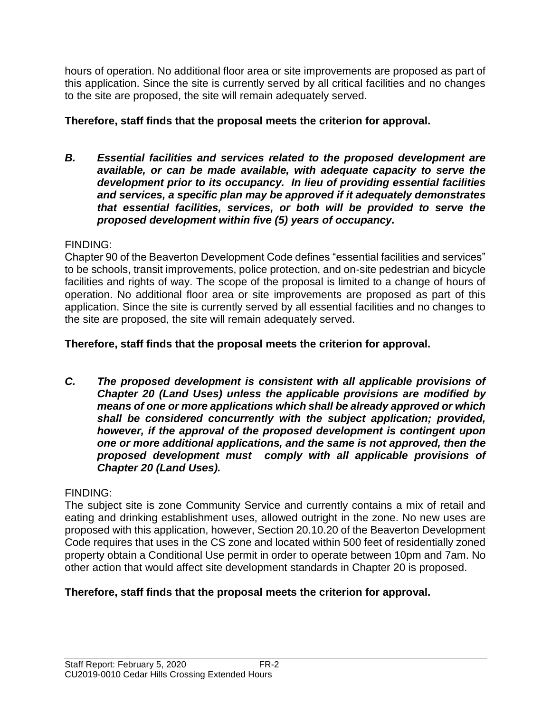hours of operation. No additional floor area or site improvements are proposed as part of this application. Since the site is currently served by all critical facilities and no changes to the site are proposed, the site will remain adequately served.

## **Therefore, staff finds that the proposal meets the criterion for approval.**

*B. Essential facilities and services related to the proposed development are available, or can be made available, with adequate capacity to serve the development prior to its occupancy. In lieu of providing essential facilities and services, a specific plan may be approved if it adequately demonstrates that essential facilities, services, or both will be provided to serve the proposed development within five (5) years of occupancy.*

### FINDING:

Chapter 90 of the Beaverton Development Code defines "essential facilities and services" to be schools, transit improvements, police protection, and on-site pedestrian and bicycle facilities and rights of way. The scope of the proposal is limited to a change of hours of operation. No additional floor area or site improvements are proposed as part of this application. Since the site is currently served by all essential facilities and no changes to the site are proposed, the site will remain adequately served.

## **Therefore, staff finds that the proposal meets the criterion for approval.**

*C. The proposed development is consistent with all applicable provisions of Chapter 20 (Land Uses) unless the applicable provisions are modified by means of one or more applications which shall be already approved or which shall be considered concurrently with the subject application; provided, however, if the approval of the proposed development is contingent upon one or more additional applications, and the same is not approved, then the proposed development must comply with all applicable provisions of Chapter 20 (Land Uses).*

## FINDING:

The subject site is zone Community Service and currently contains a mix of retail and eating and drinking establishment uses, allowed outright in the zone. No new uses are proposed with this application, however, Section 20.10.20 of the Beaverton Development Code requires that uses in the CS zone and located within 500 feet of residentially zoned property obtain a Conditional Use permit in order to operate between 10pm and 7am. No other action that would affect site development standards in Chapter 20 is proposed.

## **Therefore, staff finds that the proposal meets the criterion for approval.**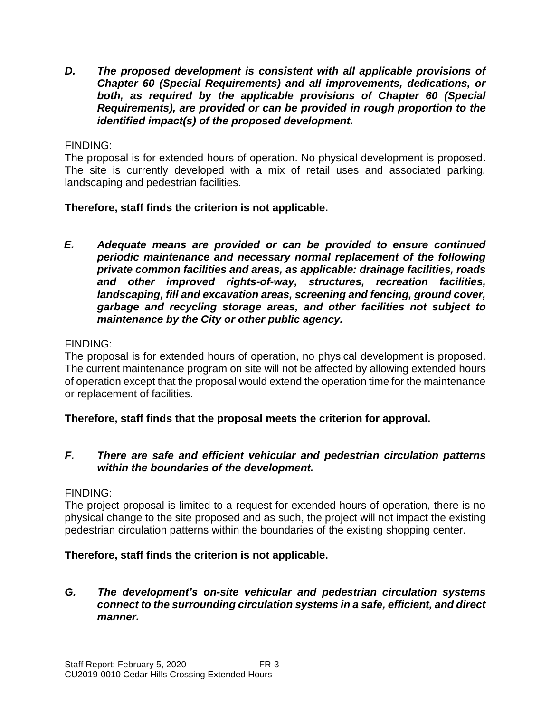*D. The proposed development is consistent with all applicable provisions of Chapter 60 (Special Requirements) and all improvements, dedications, or both, as required by the applicable provisions of Chapter 60 (Special Requirements), are provided or can be provided in rough proportion to the identified impact(s) of the proposed development.*

### FINDING:

The proposal is for extended hours of operation. No physical development is proposed. The site is currently developed with a mix of retail uses and associated parking, landscaping and pedestrian facilities.

### **Therefore, staff finds the criterion is not applicable.**

*E. Adequate means are provided or can be provided to ensure continued periodic maintenance and necessary normal replacement of the following private common facilities and areas, as applicable: drainage facilities, roads and other improved rights-of-way, structures, recreation facilities, landscaping, fill and excavation areas, screening and fencing, ground cover, garbage and recycling storage areas, and other facilities not subject to maintenance by the City or other public agency.*

### FINDING:

The proposal is for extended hours of operation, no physical development is proposed. The current maintenance program on site will not be affected by allowing extended hours of operation except that the proposal would extend the operation time for the maintenance or replacement of facilities.

## **Therefore, staff finds that the proposal meets the criterion for approval.**

#### *F. There are safe and efficient vehicular and pedestrian circulation patterns within the boundaries of the development.*

#### FINDING:

The project proposal is limited to a request for extended hours of operation, there is no physical change to the site proposed and as such, the project will not impact the existing pedestrian circulation patterns within the boundaries of the existing shopping center.

#### **Therefore, staff finds the criterion is not applicable.**

#### *G. The development's on-site vehicular and pedestrian circulation systems connect to the surrounding circulation systems in a safe, efficient, and direct manner.*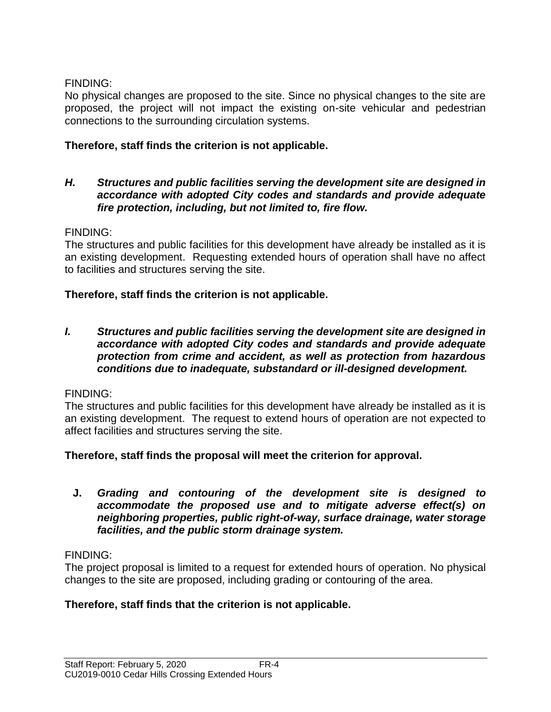## FINDING:

No physical changes are proposed to the site. Since no physical changes to the site are proposed, the project will not impact the existing on-site vehicular and pedestrian connections to the surrounding circulation systems.

## **Therefore, staff finds the criterion is not applicable.**

#### *H. Structures and public facilities serving the development site are designed in accordance with adopted City codes and standards and provide adequate fire protection, including, but not limited to, fire flow.*

### FINDING:

The structures and public facilities for this development have already be installed as it is an existing development. Requesting extended hours of operation shall have no affect to facilities and structures serving the site.

### **Therefore, staff finds the criterion is not applicable.**

*I. Structures and public facilities serving the development site are designed in accordance with adopted City codes and standards and provide adequate protection from crime and accident, as well as protection from hazardous conditions due to inadequate, substandard or ill-designed development.*

#### FINDING:

The structures and public facilities for this development have already be installed as it is an existing development. The request to extend hours of operation are not expected to affect facilities and structures serving the site.

#### **Therefore, staff finds the proposal will meet the criterion for approval.**

**J.** *Grading and contouring of the development site is designed to accommodate the proposed use and to mitigate adverse effect(s) on neighboring properties, public right-of-way, surface drainage, water storage facilities, and the public storm drainage system.*

#### FINDING:

The project proposal is limited to a request for extended hours of operation. No physical changes to the site are proposed, including grading or contouring of the area.

## **Therefore, staff finds that the criterion is not applicable.**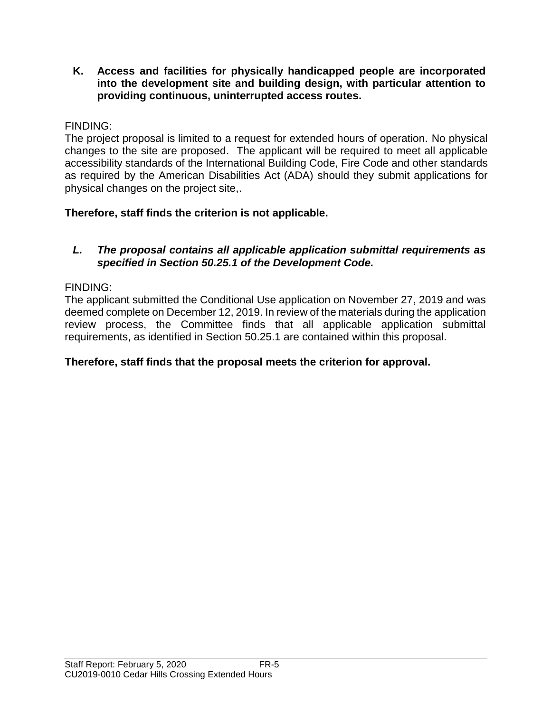**K. Access and facilities for physically handicapped people are incorporated into the development site and building design, with particular attention to providing continuous, uninterrupted access routes.**

### FINDING:

The project proposal is limited to a request for extended hours of operation. No physical changes to the site are proposed. The applicant will be required to meet all applicable accessibility standards of the International Building Code, Fire Code and other standards as required by the American Disabilities Act (ADA) should they submit applications for physical changes on the project site,.

## **Therefore, staff finds the criterion is not applicable.**

#### *L. The proposal contains all applicable application submittal requirements as specified in Section 50.25.1 of the Development Code.*

### FINDING:

The applicant submitted the Conditional Use application on November 27, 2019 and was deemed complete on December 12, 2019. In review of the materials during the application review process, the Committee finds that all applicable application submittal requirements, as identified in Section 50.25.1 are contained within this proposal.

## **Therefore, staff finds that the proposal meets the criterion for approval.**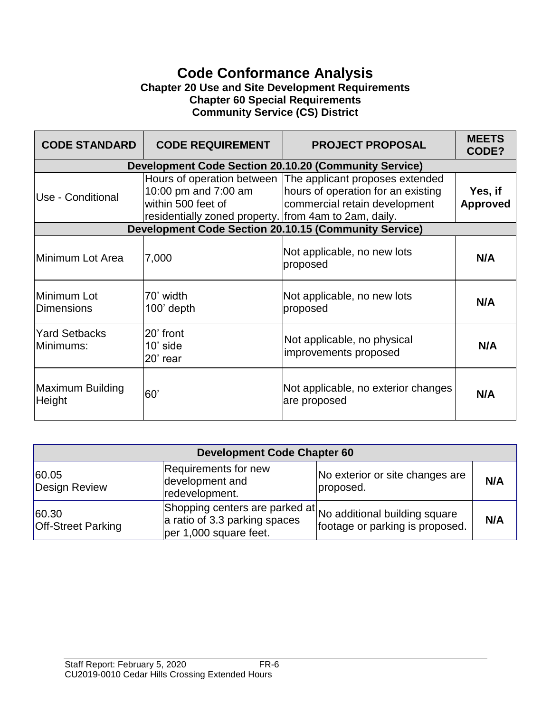## **Code Conformance Analysis Chapter 20 Use and Site Development Requirements Chapter 60 Special Requirements Community Service (CS) District**

| <b>CODE STANDARD</b>              | <b>CODE REQUIREMENT</b>                                                                              | <b>PROJECT PROPOSAL</b>                                                                                                           | <b>MEETS</b><br>CODE?      |
|-----------------------------------|------------------------------------------------------------------------------------------------------|-----------------------------------------------------------------------------------------------------------------------------------|----------------------------|
|                                   |                                                                                                      | <b>Development Code Section 20.10.20 (Community Service)</b>                                                                      |                            |
| Use - Conditional                 | 10:00 pm and 7:00 am<br>lwithin 500 feet of<br>residentially zoned property. from 4am to 2am, daily. | Hours of operation between The applicant proposes extended<br>hours of operation for an existing<br>commercial retain development | Yes, if<br><b>Approved</b> |
|                                   |                                                                                                      | <b>Development Code Section 20.10.15 (Community Service)</b>                                                                      |                            |
| Minimum Lot Area                  | 7,000                                                                                                | Not applicable, no new lots<br>proposed                                                                                           | N/A                        |
| Minimum Lot<br><b>Dimensions</b>  | 70' width<br>$100'$ depth                                                                            | Not applicable, no new lots<br>proposed                                                                                           | N/A                        |
| <b>Yard Setbacks</b><br>Minimums: | l20' front<br>$10'$ side<br>20' rear                                                                 | Not applicable, no physical<br>improvements proposed                                                                              | N/A                        |
| <b>Maximum Building</b><br>Height | 60'                                                                                                  | Not applicable, no exterior changes<br>are proposed                                                                               | N/A                        |

| <b>Development Code Chapter 60</b>  |                                                                                                                         |                                              |     |
|-------------------------------------|-------------------------------------------------------------------------------------------------------------------------|----------------------------------------------|-----|
| 60.05<br>Design Review              | Requirements for new<br>development and<br>redevelopment.                                                               | No exterior or site changes are<br>proposed. | N/A |
| 60.30 <br><b>Off-Street Parking</b> | Shopping centers are parked at No additional building square<br>a ratio of 3.3 parking spaces<br>per 1,000 square feet. | footage or parking is proposed.              | N/A |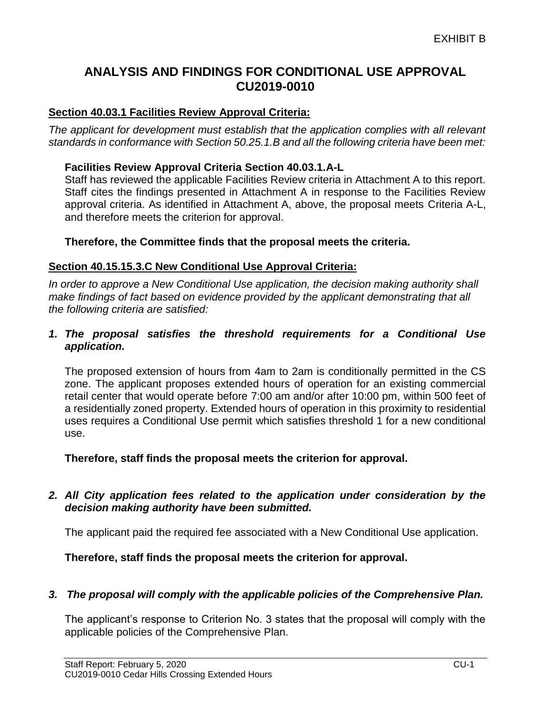## **ANALYSIS AND FINDINGS FOR CONDITIONAL USE APPROVAL CU2019-0010**

#### **Section 40.03.1 Facilities Review Approval Criteria:**

*The applicant for development must establish that the application complies with all relevant standards in conformance with Section 50.25.1.B and all the following criteria have been met:* 

#### **Facilities Review Approval Criteria Section 40.03.1.A-L**

Staff has reviewed the applicable Facilities Review criteria in Attachment A to this report. Staff cites the findings presented in Attachment A in response to the Facilities Review approval criteria. As identified in Attachment A, above, the proposal meets Criteria A-L, and therefore meets the criterion for approval.

#### **Therefore, the Committee finds that the proposal meets the criteria.**

#### **Section 40.15.15.3.C New Conditional Use Approval Criteria:**

*In order to approve a New Conditional Use application, the decision making authority shall make findings of fact based on evidence provided by the applicant demonstrating that all the following criteria are satisfied:*

#### *1. The proposal satisfies the threshold requirements for a Conditional Use application.*

The proposed extension of hours from 4am to 2am is conditionally permitted in the CS zone. The applicant proposes extended hours of operation for an existing commercial retail center that would operate before 7:00 am and/or after 10:00 pm, within 500 feet of a residentially zoned property. Extended hours of operation in this proximity to residential uses requires a Conditional Use permit which satisfies threshold 1 for a new conditional use.

**Therefore, staff finds the proposal meets the criterion for approval.**

#### *2. All City application fees related to the application under consideration by the decision making authority have been submitted.*

The applicant paid the required fee associated with a New Conditional Use application.

**Therefore, staff finds the proposal meets the criterion for approval.**

#### *3. The proposal will comply with the applicable policies of the Comprehensive Plan.*

The applicant's response to Criterion No. 3 states that the proposal will comply with the applicable policies of the Comprehensive Plan.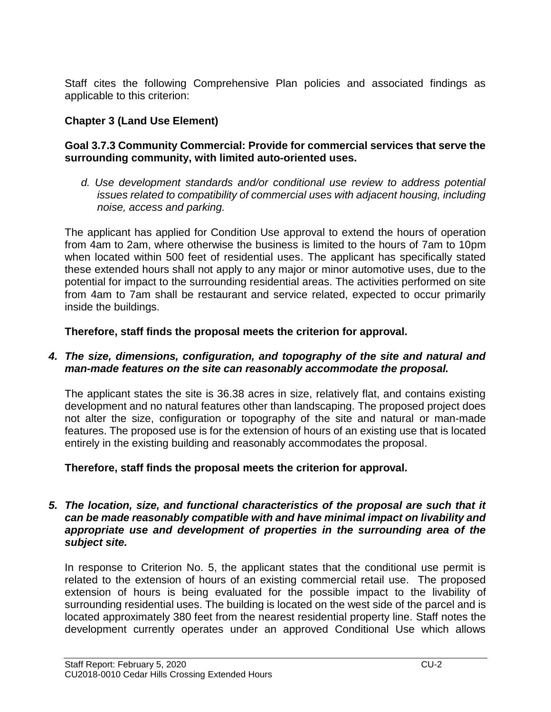Staff cites the following Comprehensive Plan policies and associated findings as applicable to this criterion:

## **Chapter 3 (Land Use Element)**

#### **Goal 3.7.3 Community Commercial: Provide for commercial services that serve the surrounding community, with limited auto-oriented uses.**

*d. Use development standards and/or conditional use review to address potential issues related to compatibility of commercial uses with adjacent housing, including noise, access and parking.*

The applicant has applied for Condition Use approval to extend the hours of operation from 4am to 2am, where otherwise the business is limited to the hours of 7am to 10pm when located within 500 feet of residential uses. The applicant has specifically stated these extended hours shall not apply to any major or minor automotive uses, due to the potential for impact to the surrounding residential areas. The activities performed on site from 4am to 7am shall be restaurant and service related, expected to occur primarily inside the buildings.

**Therefore, staff finds the proposal meets the criterion for approval.**

#### *4. The size, dimensions, configuration, and topography of the site and natural and man-made features on the site can reasonably accommodate the proposal.*

The applicant states the site is 36.38 acres in size, relatively flat, and contains existing development and no natural features other than landscaping. The proposed project does not alter the size, configuration or topography of the site and natural or man-made features. The proposed use is for the extension of hours of an existing use that is located entirely in the existing building and reasonably accommodates the proposal.

## **Therefore, staff finds the proposal meets the criterion for approval.**

#### *5. The location, size, and functional characteristics of the proposal are such that it can be made reasonably compatible with and have minimal impact on livability and appropriate use and development of properties in the surrounding area of the subject site.*

In response to Criterion No. 5, the applicant states that the conditional use permit is related to the extension of hours of an existing commercial retail use. The proposed extension of hours is being evaluated for the possible impact to the livability of surrounding residential uses. The building is located on the west side of the parcel and is located approximately 380 feet from the nearest residential property line. Staff notes the development currently operates under an approved Conditional Use which allows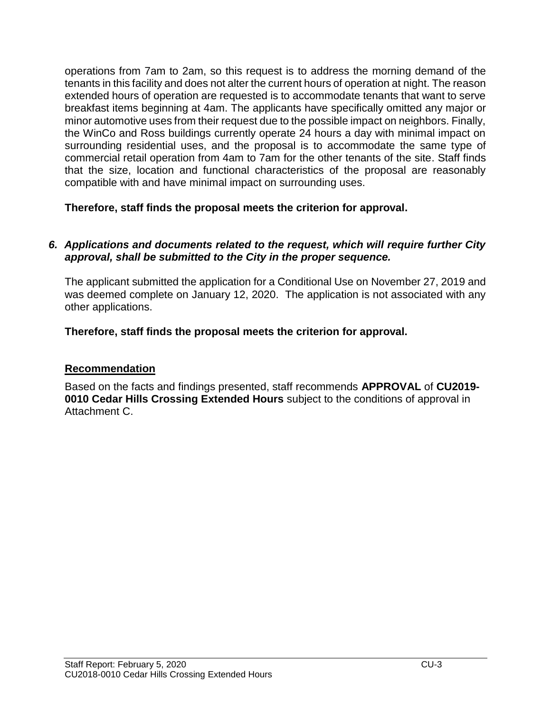operations from 7am to 2am, so this request is to address the morning demand of the tenants in this facility and does not alter the current hours of operation at night. The reason extended hours of operation are requested is to accommodate tenants that want to serve breakfast items beginning at 4am. The applicants have specifically omitted any major or minor automotive uses from their request due to the possible impact on neighbors. Finally, the WinCo and Ross buildings currently operate 24 hours a day with minimal impact on surrounding residential uses, and the proposal is to accommodate the same type of commercial retail operation from 4am to 7am for the other tenants of the site. Staff finds that the size, location and functional characteristics of the proposal are reasonably compatible with and have minimal impact on surrounding uses.

**Therefore, staff finds the proposal meets the criterion for approval.** 

### *6. Applications and documents related to the request, which will require further City approval, shall be submitted to the City in the proper sequence.*

The applicant submitted the application for a Conditional Use on November 27, 2019 and was deemed complete on January 12, 2020. The application is not associated with any other applications.

**Therefore, staff finds the proposal meets the criterion for approval.**

## **Recommendation**

Based on the facts and findings presented, staff recommends **APPROVAL** of **CU2019- 0010 Cedar Hills Crossing Extended Hours** subject to the conditions of approval in Attachment C.